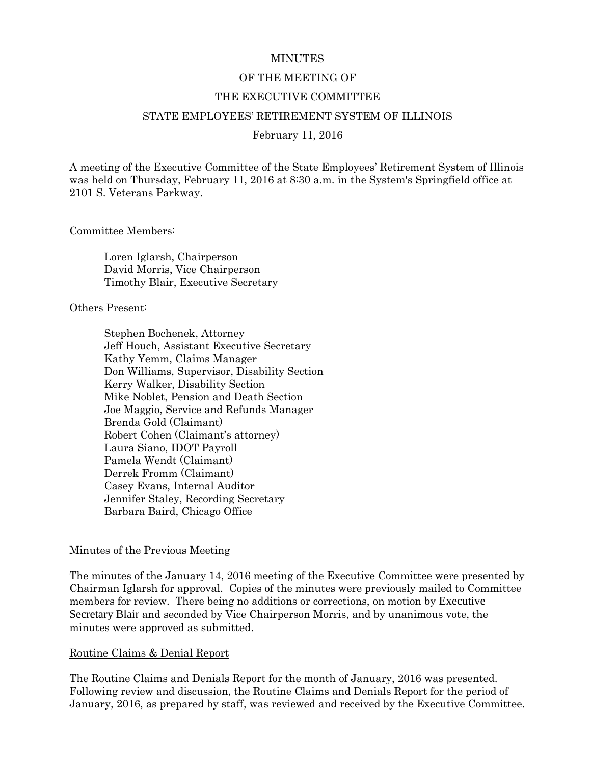#### **MINUTES**

#### OF THE MEETING OF

#### THE EXECUTIVE COMMITTEE

#### STATE EMPLOYEES' RETIREMENT SYSTEM OF ILLINOIS

#### February 11, 2016

A meeting of the Executive Committee of the State Employees' Retirement System of Illinois was held on Thursday, February 11, 2016 at 8:30 a.m. in the System's Springfield office at 2101 S. Veterans Parkway.

Committee Members:

Loren Iglarsh, Chairperson David Morris, Vice Chairperson Timothy Blair, Executive Secretary

Others Present:

Stephen Bochenek, Attorney Jeff Houch, Assistant Executive Secretary Kathy Yemm, Claims Manager Don Williams, Supervisor, Disability Section Kerry Walker, Disability Section Mike Noblet, Pension and Death Section Joe Maggio, Service and Refunds Manager Brenda Gold (Claimant) Robert Cohen (Claimant's attorney) Laura Siano, IDOT Payroll Pamela Wendt (Claimant) Derrek Fromm (Claimant) Casey Evans, Internal Auditor Jennifer Staley, Recording Secretary Barbara Baird, Chicago Office

#### Minutes of the Previous Meeting

The minutes of the January 14, 2016 meeting of the Executive Committee were presented by Chairman Iglarsh for approval. Copies of the minutes were previously mailed to Committee members for review. There being no additions or corrections, on motion by Executive Secretary Blair and seconded by Vice Chairperson Morris, and by unanimous vote, the minutes were approved as submitted.

#### Routine Claims & Denial Report

The Routine Claims and Denials Report for the month of January, 2016 was presented. Following review and discussion, the Routine Claims and Denials Report for the period of January, 2016, as prepared by staff, was reviewed and received by the Executive Committee.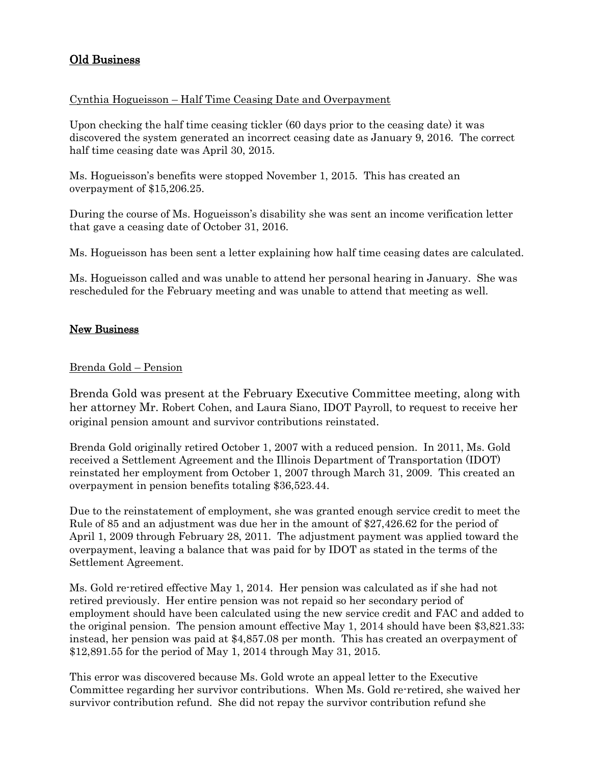# Old Business

# Cynthia Hogueisson – Half Time Ceasing Date and Overpayment

Upon checking the half time ceasing tickler (60 days prior to the ceasing date) it was discovered the system generated an incorrect ceasing date as January 9, 2016. The correct half time ceasing date was April 30, 2015.

Ms. Hogueisson's benefits were stopped November 1, 2015. This has created an overpayment of \$15,206.25.

During the course of Ms. Hogueisson's disability she was sent an income verification letter that gave a ceasing date of October 31, 2016.

Ms. Hogueisson has been sent a letter explaining how half time ceasing dates are calculated.

Ms. Hogueisson called and was unable to attend her personal hearing in January. She was rescheduled for the February meeting and was unable to attend that meeting as well.

# New Business

## Brenda Gold – Pension

Brenda Gold was present at the February Executive Committee meeting, along with her attorney Mr. Robert Cohen, and Laura Siano, IDOT Payroll, to request to receive her original pension amount and survivor contributions reinstated.

Brenda Gold originally retired October 1, 2007 with a reduced pension. In 2011, Ms. Gold received a Settlement Agreement and the Illinois Department of Transportation (IDOT) reinstated her employment from October 1, 2007 through March 31, 2009. This created an overpayment in pension benefits totaling \$36,523.44.

Due to the reinstatement of employment, she was granted enough service credit to meet the Rule of 85 and an adjustment was due her in the amount of \$27,426.62 for the period of April 1, 2009 through February 28, 2011. The adjustment payment was applied toward the overpayment, leaving a balance that was paid for by IDOT as stated in the terms of the Settlement Agreement.

Ms. Gold re-retired effective May 1, 2014. Her pension was calculated as if she had not retired previously. Her entire pension was not repaid so her secondary period of employment should have been calculated using the new service credit and FAC and added to the original pension. The pension amount effective May 1, 2014 should have been \$3,821.33; instead, her pension was paid at \$4,857.08 per month. This has created an overpayment of \$12,891.55 for the period of May 1, 2014 through May 31, 2015.

This error was discovered because Ms. Gold wrote an appeal letter to the Executive Committee regarding her survivor contributions. When Ms. Gold re-retired, she waived her survivor contribution refund. She did not repay the survivor contribution refund she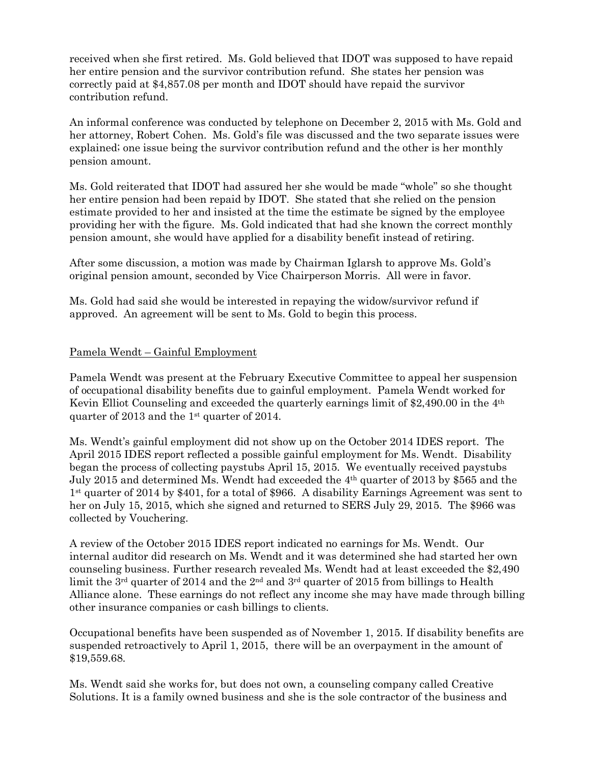received when she first retired. Ms. Gold believed that IDOT was supposed to have repaid her entire pension and the survivor contribution refund. She states her pension was correctly paid at \$4,857.08 per month and IDOT should have repaid the survivor contribution refund.

An informal conference was conducted by telephone on December 2, 2015 with Ms. Gold and her attorney, Robert Cohen. Ms. Gold's file was discussed and the two separate issues were explained; one issue being the survivor contribution refund and the other is her monthly pension amount.

Ms. Gold reiterated that IDOT had assured her she would be made "whole" so she thought her entire pension had been repaid by IDOT. She stated that she relied on the pension estimate provided to her and insisted at the time the estimate be signed by the employee providing her with the figure. Ms. Gold indicated that had she known the correct monthly pension amount, she would have applied for a disability benefit instead of retiring.

After some discussion, a motion was made by Chairman Iglarsh to approve Ms. Gold's original pension amount, seconded by Vice Chairperson Morris. All were in favor.

Ms. Gold had said she would be interested in repaying the widow/survivor refund if approved. An agreement will be sent to Ms. Gold to begin this process.

### Pamela Wendt – Gainful Employment

Pamela Wendt was present at the February Executive Committee to appeal her suspension of occupational disability benefits due to gainful employment. Pamela Wendt worked for Kevin Elliot Counseling and exceeded the quarterly earnings limit of \$2,490.00 in the 4th quarter of 2013 and the 1st quarter of 2014.

Ms. Wendt's gainful employment did not show up on the October 2014 IDES report. The April 2015 IDES report reflected a possible gainful employment for Ms. Wendt. Disability began the process of collecting paystubs April 15, 2015. We eventually received paystubs July 2015 and determined Ms. Wendt had exceeded the 4th quarter of 2013 by \$565 and the 1st quarter of 2014 by \$401, for a total of \$966. A disability Earnings Agreement was sent to her on July 15, 2015, which she signed and returned to SERS July 29, 2015. The \$966 was collected by Vouchering.

A review of the October 2015 IDES report indicated no earnings for Ms. Wendt. Our internal auditor did research on Ms. Wendt and it was determined she had started her own counseling business. Further research revealed Ms. Wendt had at least exceeded the \$2,490 limit the 3<sup>rd</sup> quarter of 2014 and the 2<sup>nd</sup> and 3<sup>rd</sup> quarter of 2015 from billings to Health Alliance alone. These earnings do not reflect any income she may have made through billing other insurance companies or cash billings to clients.

Occupational benefits have been suspended as of November 1, 2015. If disability benefits are suspended retroactively to April 1, 2015, there will be an overpayment in the amount of \$19,559.68.

Ms. Wendt said she works for, but does not own, a counseling company called Creative Solutions. It is a family owned business and she is the sole contractor of the business and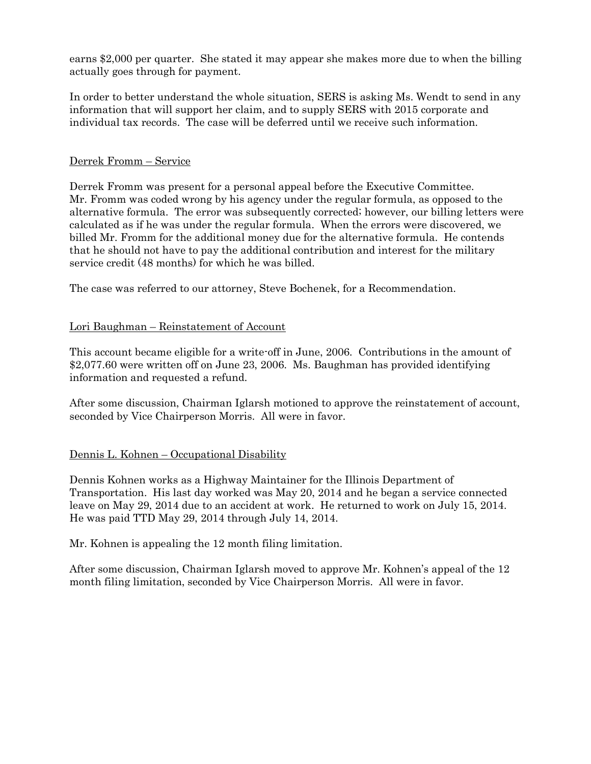earns \$2,000 per quarter. She stated it may appear she makes more due to when the billing actually goes through for payment.

In order to better understand the whole situation, SERS is asking Ms. Wendt to send in any information that will support her claim, and to supply SERS with 2015 corporate and individual tax records. The case will be deferred until we receive such information.

# Derrek Fromm – Service

Derrek Fromm was present for a personal appeal before the Executive Committee. Mr. Fromm was coded wrong by his agency under the regular formula, as opposed to the alternative formula. The error was subsequently corrected; however, our billing letters were calculated as if he was under the regular formula. When the errors were discovered, we billed Mr. Fromm for the additional money due for the alternative formula. He contends that he should not have to pay the additional contribution and interest for the military service credit (48 months) for which he was billed.

The case was referred to our attorney, Steve Bochenek, for a Recommendation.

# Lori Baughman – Reinstatement of Account

This account became eligible for a write-off in June, 2006. Contributions in the amount of \$2,077.60 were written off on June 23, 2006. Ms. Baughman has provided identifying information and requested a refund.

After some discussion, Chairman Iglarsh motioned to approve the reinstatement of account, seconded by Vice Chairperson Morris. All were in favor.

## Dennis L. Kohnen – Occupational Disability

Dennis Kohnen works as a Highway Maintainer for the Illinois Department of Transportation. His last day worked was May 20, 2014 and he began a service connected leave on May 29, 2014 due to an accident at work. He returned to work on July 15, 2014. He was paid TTD May 29, 2014 through July 14, 2014.

Mr. Kohnen is appealing the 12 month filing limitation.

After some discussion, Chairman Iglarsh moved to approve Mr. Kohnen's appeal of the 12 month filing limitation, seconded by Vice Chairperson Morris. All were in favor.